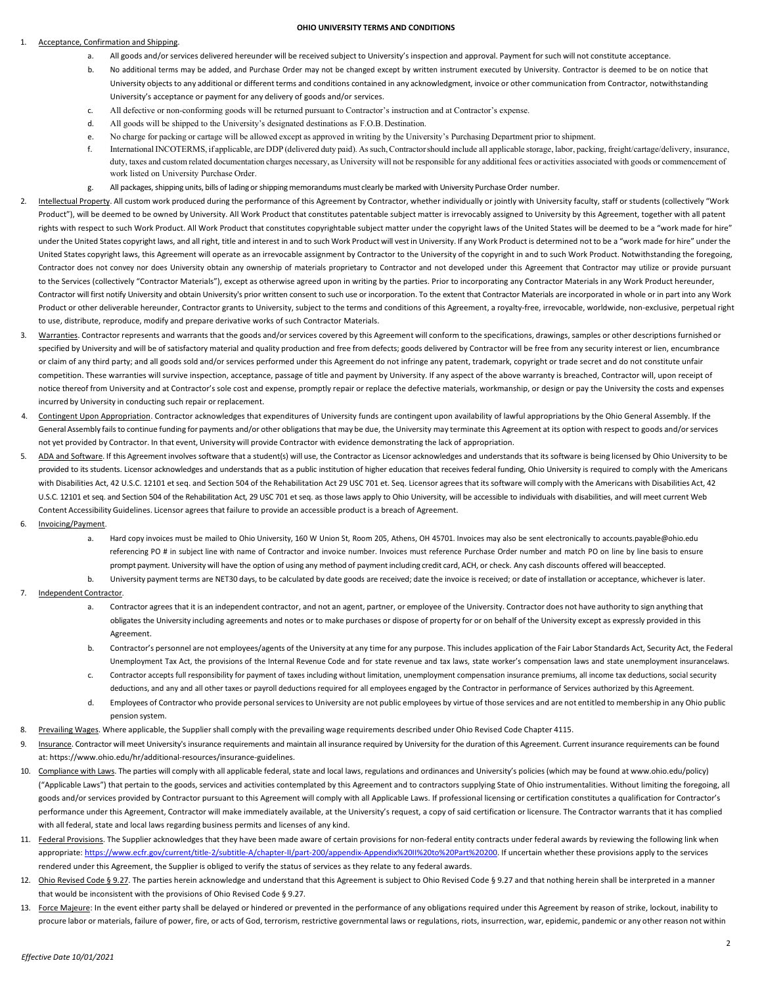#### **OHIO UNIVERSITY TERMS AND CONDITIONS**

## Acceptance, Confirmation and Shipping.

- a. All goods and/or services delivered hereunder will be received subject to University's inspection and approval. Payment for such will not constitute acceptance.
- b. No additional terms may be added, and Purchase Order may not be changed except by written instrument executed by University. Contractor is deemed to be on notice that University objects to any additional or different terms and conditions contained in any acknowledgment, invoice or other communication from Contractor, notwithstanding University's acceptance or payment for any delivery of goods and/or services.
- c. All defective or non-conforming goods will be returned pursuant to Contractor's instruction and at Contractor's expense.
- d. All goods will be shipped to the University's designated destinations as F.O.B. Destination.
- e. No charge for packing or cartage will be allowed except as approved in writing by the University's Purchasing Department prior to shipment.
- f. InternationalINCOTERMS, if applicable, are DDP (delivered duty paid). Assuch,Contractorshould include all applicable storage, labor, packing, freight/cartage/delivery, insurance, duty, taxes and custom related documentation charges necessary, as University will not be responsible for any additional fees or activities associated with goods or commencement of work listed on University Purchase Order.
- g. All packages, shipping units, bills of lading or shipping memorandums must clearly be marked with University Purchase Order number.
- 2. Intellectual Property. All custom work produced during the performance of this Agreement by Contractor, whether individually or jointly with University faculty, staff or students (collectively "Work Product"), will be deemed to be owned by University. All Work Product that constitutes patentable subject matter is irrevocably assigned to University by this Agreement, together with all patent rights with respect to such Work Product. All Work Product that constitutes copyrightable subject matter under the copyright laws of the United States will be deemed to be a "work made for hire" under the United States copyright laws, and all right, title and interest in and to such Work Product will vest in University. If any Work Product is determined not to be a "work made for hire" under the United States copyright laws, this Agreement will operate as an irrevocable assignment by Contractor to the University of the copyright in and to such Work Product. Notwithstanding the foregoing, Contractor does not convey nor does University obtain any ownership of materials proprietary to Contractor and not developed under this Agreement that Contractor may utilize or provide pursuant to the Services (collectively "Contractor Materials"), except as otherwise agreed upon in writing by the parties. Prior to incorporating any Contractor Materials in any Work Product hereunder, Contractor will first notify University and obtain University's prior written consent to such use or incorporation. To the extent that Contractor Materials are incorporated in whole or in part into any Work Product or other deliverable hereunder, Contractor grants to University, subject to the terms and conditions of this Agreement, a royalty-free, irrevocable, worldwide, non-exclusive, perpetual right to use, distribute, reproduce, modify and prepare derivative works of such Contractor Materials.
- 3. Warranties. Contractor represents and warrants that the goods and/or services covered by this Agreement will conform to the specifications, drawings, samples or other descriptions furnished or specified by University and will be of satisfactory material and quality production and free from defects; goods delivered by Contractor will be free from any security interest or lien, encumbrance or claim of any third party; and all goods sold and/or services performed under this Agreement do not infringe any patent, trademark, copyright or trade secret and do not constitute unfair competition. These warranties will survive inspection, acceptance, passage of title and payment by University. If any aspect of the above warranty is breached, Contractor will, upon receipt of notice thereof from University and at Contractor's sole cost and expense, promptly repair or replace the defective materials, workmanship, or design or pay the University the costs and expenses incurred by University in conducting such repair or replacement.
- Contingent Upon Appropriation. Contractor acknowledges that expenditures of University funds are contingent upon availability of lawful appropriations by the Ohio General Assembly. If the General Assembly fails to continue funding for payments and/or other obligations that may be due, the University may terminate this Agreement at its option with respect to goods and/or services not yet provided by Contractor. In that event, University will provide Contractor with evidence demonstrating the lack of appropriation.
- ADA and Software. If this Agreement involves software that a student(s) will use, the Contractor as Licensor acknowledges and understands that its software is being licensed by Ohio University to be provided to its students. Licensor acknowledges and understands that as a public institution of higher education that receives federal funding, Ohio University is required to comply with the Americans with Disabilities Act, 42 U.S.C. 12101 et seq. and Section 504 of the Rehabilitation Act 29 USC 701 et. Seq. Licensor agrees that its software will comply with the Americans with Disabilities Act, 42 U.S.C. 12101 et seq. and Section 504 of the Rehabilitation Act, 29 USC 701 et seq. as those laws apply to Ohio University, will be accessible to individuals with disabilities, and will meet current Web Content Accessibility Guidelines. Licensor agrees that failure to provide an accessible product is a breach of Agreement.
- 6. Invoicing/Payment.
	- a. Hard copy invoices must be mailed to Ohio University, 160 W Union St, Room 205, Athens, OH 45701. Invoices may also be sent electronically to [accounts.payable@ohio.edu](mailto:accountspayable@ohio.edu) referencing PO # in subject line with name of Contractor and invoice number. Invoices must reference Purchase Order number and match PO on line by line basis to ensure prompt payment. University will have the option of using any method of payment including credit card, ACH, or check. Any cash discounts offered will beaccepted.
	- b. University payment terms are NET30 days, to be calculated by date goods are received; date the invoice is received; or date of installation or acceptance, whichever is later.
- Independent Contractor.
	- a. Contractor agrees that it is an independent contractor, and not an agent, partner, or employee of the University. Contractor does not have authority to sign anything that obligates the University including agreements and notes or to make purchases or dispose of property for or on behalf of the University except as expressly provided in this Agreement.
	- b. Contractor's personnel are not employees/agents of the University at any time for any purpose. This includes application of the Fair Labor Standards Act, Security Act, the Federal Unemployment Tax Act, the provisions of the Internal Revenue Code and for state revenue and tax laws, state worker's compensation laws and state unemployment insurancelaws.
	- c. Contractor accepts full responsibility for payment of taxes including without limitation, unemployment compensation insurance premiums, all income tax deductions, social security deductions, and any and all other taxes or payroll deductions required for all employees engaged by the Contractor in performance of Services authorized by this Agreement.
	- d. Employees of Contractor who provide personalservicesto University are not public employees by virtue of those services and are not entitled to membership in any Ohio public pension system.
- 8. Prevailing Wages. Where applicable, the Supplier shall comply with the prevailing wage requirements described under Ohio Revised Code Chapter 4115.
- 9. Insurance. Contractor will meet University's insurance requirements and maintain all insurance required by University for the duration of this Agreement. Current insurance requirements can be found at: https:/[/www.ohio.edu/hr/additional-resources/insurance-guidelines.](http://www.ohio.edu/hr/additional-resources/insurance-guidelines)
- 10. Compliance with Laws. The parties will comply with all applicable federal, state and local laws, regulations and ordinances and University's policies (which may be found a[t www.ohio.edu/policy\)](http://www.ohio.edu/policy)) ("Applicable Laws") that pertain to the goods, services and activities contemplated by this Agreement and to contractors supplying State of Ohio instrumentalities. Without limiting the foregoing, all goods and/or services provided by Contractor pursuant to this Agreement will comply with all Applicable Laws. If professional licensing or certification constitutes a qualification for Contractor's performance under this Agreement, Contractor will make immediately available, at the University's request, a copy of said certification or licensure. The Contractor warrants that it has complied with all federal, state and local laws regarding business permits and licenses of any kind.
- 11. Federal Provisions. The Supplier acknowledges that they have been made aware of certain provisions for non-federal entity contracts under federal awards by reviewing the following link when appropriate[: https://www.ecfr.gov/current/title-2/subtitle-A/chapter-II/part-200/appendix-Appendix%20II%20to%20Part%20200.](https://www.ecfr.gov/current/title-2/subtitle-A/chapter-II/part-200/appendix-Appendix%20II%20to%20Part%20200) If uncertain whether these provisions apply to the services rendered under this Agreement, the Supplier is obliged to verify the status of services as they relate to any federal awards.
- 12. Ohio Revised Code § 9.27. The parties herein acknowledge and understand that this Agreement is subject to Ohio Revised Code § 9.27 and that nothing herein shall be interpreted in a manner that would be inconsistent with the provisions of Ohio Revised Code § 9.27.
- 13. Force Majeure: In the event either party shall be delayed or hindered or prevented in the performance of any obligations required under this Agreement by reason of strike, lockout, inability to procure labor or materials, failure of power, fire, or acts of God, terrorism, restrictive governmental laws or regulations, riots, insurrection, war, epidemic, pandemic or any other reason not within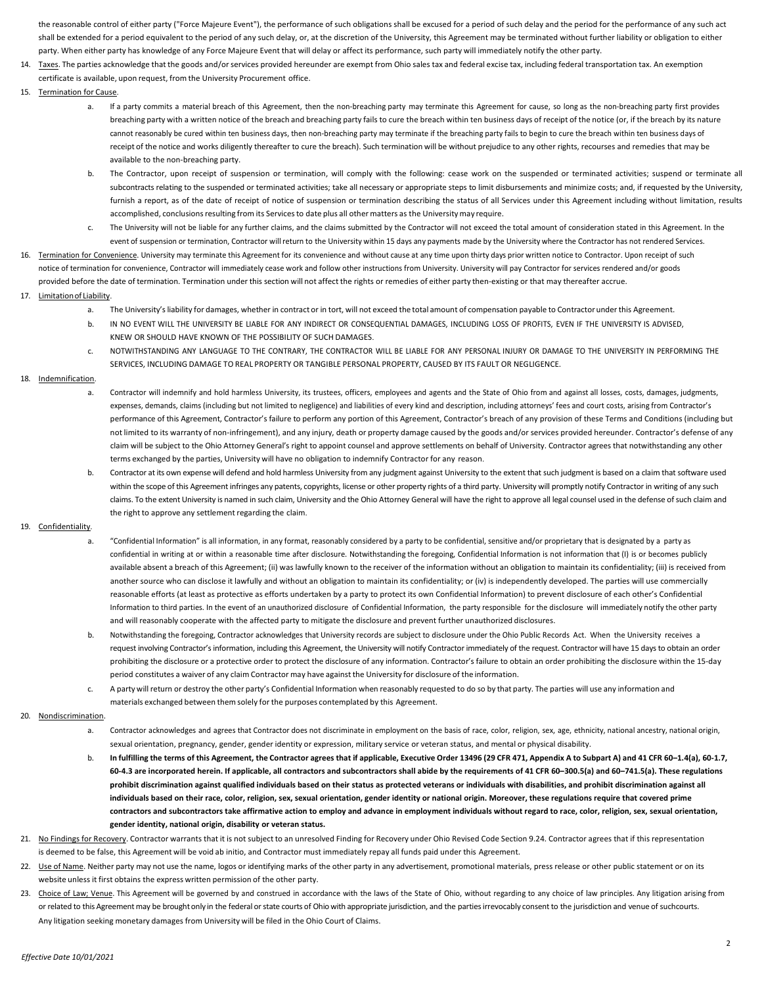the reasonable control of either party ("Force Majeure Event"), the performance of such obligations shall be excused for a period of such delay and the period for the performance of any such act shall be extended for a period equivalent to the period of any such delay, or, at the discretion of the University, this Agreement may be terminated without further liability or obligation to either party. When either party has knowledge of any Force Majeure Event that will delay or affect its performance, such party will immediately notify the other party.

- 14. Taxes. The parties acknowledge that the goods and/orservices provided hereunder are exempt from Ohio sales tax and federal excise tax, including federal transportation tax. An exemption certificate is available, upon request, from the University Procurement office.
- 15. Termination for Cause.
	- a. If a party commits a material breach of this Agreement, then the non-breaching party may terminate this Agreement for cause, so long as the non-breaching party first provides breaching party with a written notice of the breach and breaching party fails to cure the breach within ten business days of receipt of the notice (or, if the breach by its nature cannot reasonably be cured within ten business days, then non-breaching party may terminate if the breaching party fails to begin to cure the breach within ten business days of receipt of the notice and works diligently thereafter to cure the breach). Such termination will be without prejudice to any other rights, recourses and remedies that may be available to the non-breaching party.
	- b. The Contractor, upon receipt of suspension or termination, will comply with the following: cease work on the suspended or terminated activities; suspend or terminate all subcontracts relating to the suspended or terminated activities; take all necessary or appropriate steps to limit disbursements and minimize costs; and, if requested by the University, furnish a report, as of the date of receipt of notice of suspension or termination describing the status of all Services under this Agreement including without limitation, results accomplished, conclusions resulting from its Services to date plus all other matters as the University may require.
	- c. The University will not be liable for any further claims, and the claims submitted by the Contractor will not exceed the total amount of consideration stated in this Agreement. In the event of suspension or termination, Contractor will return to the University within 15 days any payments made by the University where the Contractor has not rendered Services.
- 16. Termination for Convenience. University may terminate this Agreement for its convenience and without cause at any time upon thirty days prior written notice to Contractor. Upon receipt of such notice of termination for convenience, Contractor will immediately cease work and follow other instructions from University. University will pay Contractor for services rendered and/or goods provided before the date of termination. Termination under this section will not affect the rights or remedies of either party then-existing or that may thereafter accrue.

## 17. Limitationof Liability.

- a. The University'sliability for damages, whether in contract or in tort, will not exceed the total amount of compensation payable to Contractor underthis Agreement.
- b. IN NO EVENT WILL THE UNIVERSITY BE LIABLE FOR ANY INDIRECT OR CONSEQUENTIAL DAMAGES, INCLUDING LOSS OF PROFITS, EVEN IF THE UNIVERSITY IS ADVISED, KNEW OR SHOULD HAVE KNOWN OF THE POSSIBILITY OF SUCH DAMAGES.
- c. NOTWITHSTANDING ANY LANGUAGE TO THE CONTRARY, THE CONTRACTOR WILL BE LIABLE FOR ANY PERSONAL INJURY OR DAMAGE TO THE UNIVERSITY IN PERFORMING THE SERVICES, INCLUDING DAMAGE TO REAL PROPERTY OR TANGIBLE PERSONAL PROPERTY, CAUSED BY ITS FAULT OR NEGLIGENCE.

## 18. Indemnification.

- a. Contractor will indemnify and hold harmless University, its trustees, officers, employees and agents and the State of Ohio from and against all losses, costs, damages, judgments, expenses, demands, claims (including but not limited to negligence) and liabilities of every kind and description, including attorneys' fees and court costs, arising from Contractor's performance of this Agreement, Contractor's failure to perform any portion of this Agreement, Contractor's breach of any provision of these Terms and Conditions (including but not limited to its warranty of non-infringement), and any injury, death or property damage caused by the goods and/or services provided hereunder. Contractor's defense of any claim will be subject to the Ohio Attorney General's right to appoint counsel and approve settlements on behalf of University. Contractor agrees that notwithstanding any other terms exchanged by the parties, University will have no obligation to indemnify Contractor for any reason.
- b. Contractor at its own expense will defend and hold harmless University from any judgment against University to the extent that such judgment is based on a claim that software used within the scope of this Agreement infringes any patents, copyrights, license or other property rights of a third party. University will promptly notify Contractor in writing of any such claims. To the extent University is named in such claim, University and the Ohio Attorney General will have the right to approve all legal counsel used in the defense of such claim and the right to approve any settlement regarding the claim.

# 19. Confidentiality.

- a. "Confidential Information" is all information, in any format, reasonably considered by a party to be confidential, sensitive and/or proprietary that is designated by a party as confidential in writing at or within a reasonable time after disclosure. Notwithstanding the foregoing, Confidential Information is not information that (I) is or becomes publicly available absent a breach of this Agreement; (ii) was lawfully known to the receiver of the information without an obligation to maintain its confidentiality; (iii) is received from another source who can disclose it lawfully and without an obligation to maintain its confidentiality; or (iv) is independently developed. The parties will use commercially reasonable efforts (at least as protective as efforts undertaken by a party to protect its own Confidential Information) to prevent disclosure of each other's Confidential Information to third parties. In the event of an unauthorized disclosure of Confidential Information, the party responsible for the disclosure will immediately notify the other party and will reasonably cooperate with the affected party to mitigate the disclosure and prevent further unauthorized disclosures.
- b. Notwithstanding the foregoing, Contractor acknowledges that University records are subject to disclosure under the Ohio Public Records Act. When the University receives a request involving Contractor's information, including this Agreement, the University will notify Contractor immediately of the request. Contractor will have 15 days to obtain an order prohibiting the disclosure or a protective order to protect the disclosure of any information. Contractor's failure to obtain an order prohibiting the disclosure within the 15-day period constitutes a waiver of any claim Contractor may have againstthe University for disclosure of the information.
- c. A party will return or destroy the other party's Confidential Information when reasonably requested to do so by that party. The parties will use any information and materials exchanged between them solely for the purposes contemplated by this Agreement.

#### 20. Nondiscrimination.

- a. Contractor acknowledges and agrees that Contractor does not discriminate in employment on the basis of race, color, religion, sex, age, ethnicity, national ancestry, national origin, sexual orientation, pregnancy, gender, gender identity or expression, military service or veteran status, and mental or physical disability.
- b. In fulfilling the terms of this Agreement, the Contractor agrees that if applicable, Executive Order 13496 (29 CFR 471, Appendix A to Subpart A) and 41 CFR 60-1.4(a), 60-1.7, **60-4.3 are incorporated herein. If applicable, all contractors and subcontractors shall abide by the requirements of 41 CFR 60–300.5(a) and 60–741.5(a). These regulations prohibit discrimination against qualified individuals based on their status as protected veterans or individuals with disabilities, and prohibit discrimination against all individuals based on their race, color, religion, sex, sexual orientation, gender identity or national origin. Moreover, these regulations require that covered prime contractors and subcontractors take affirmative action to employ and advance in employment individuals without regard to race, color, religion, sex, sexual orientation, gender identity, national origin, disability or veteran status.**
- 21. No Findings for Recovery. Contractor warrants that it is not subject to an unresolved Finding for Recovery under Ohio Revised Code Section 9.24. Contractor agrees that if this representation is deemed to be false, this Agreement will be void ab initio, and Contractor must immediately repay all funds paid under this Agreement.
- 22. Use of Name. Neither party may not use the name, logos or identifying marks of the other party in any advertisement, promotional materials, press release or other public statement or on its website unless it first obtains the express written permission of the other party.
- 23. Choice of Law; Venue. This Agreement will be governed by and construed in accordance with the laws of the State of Ohio, without regarding to any choice of law principles. Any litigation arising from or related to this Agreement may be brought only in the federal or state courts of Ohio with appropriate jurisdiction, and the parties irrevocably consent to the jurisdiction and venue of suchcourts. Any litigation seeking monetary damages from University will be filed in the Ohio Court of Claims.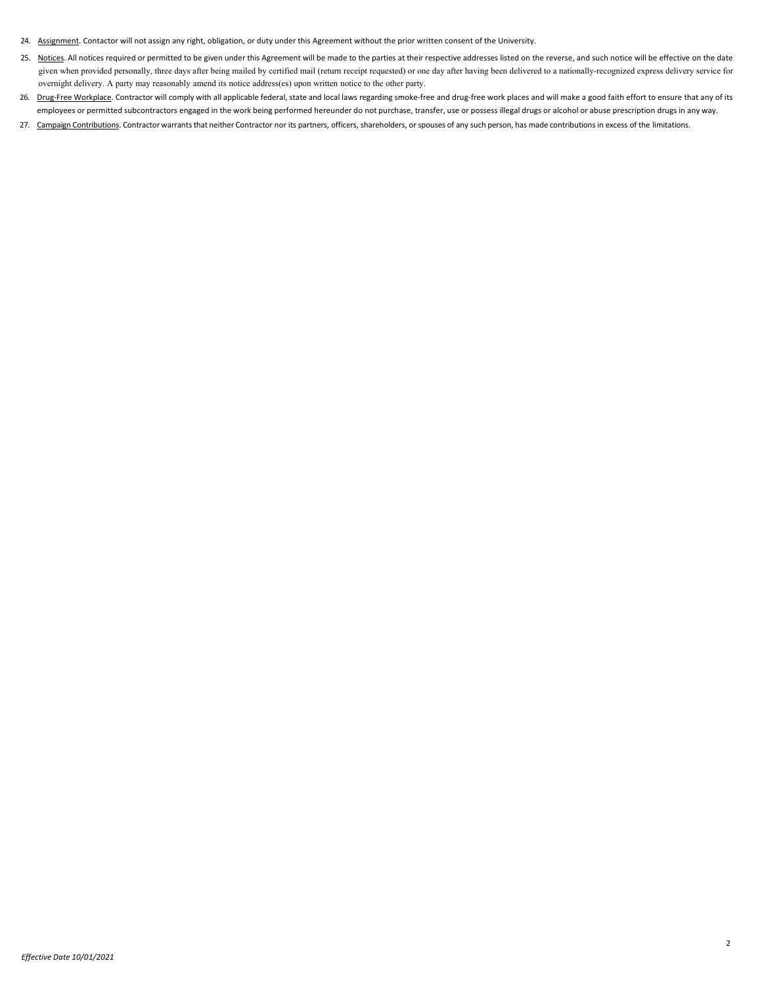- 24. Assignment. Contactor will not assign any right, obligation, or duty under this Agreement without the prior written consent of the University.
- 25. Notices. All notices required or permitted to be given under this Agreement will be made to the parties at their respective addresses listed on the reverse, and such notice will be effective on the date given when provided personally, three days after being mailed by certified mail (return receipt requested) or one day after having been delivered to a nationally-recognized express delivery service for overnight delivery. A party may reasonably amend its notice address(es) upon written notice to the other party.
- 26. Drug-Free Workplace. Contractor will comply with all applicable federal, state and local laws regarding smoke-free and drug-free work places and will make a good faith effort to ensure that any of its employees or permitted subcontractors engaged in the work being performed hereunder do not purchase, transfer, use or possess illegal drugs or alcohol or abuse prescription drugs in any way.
- 27. Campaign Contributions. Contractor warrants that neither Contractor nor its partners, officers, shareholders, or spouses of any such person, has made contributions in excess of the limitations.